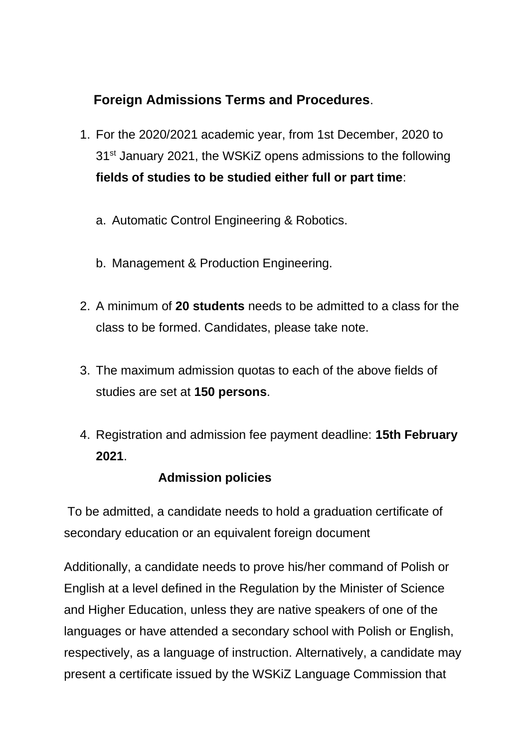# **Foreign Admissions Terms and Procedures**.

- 1. For the 2020/2021 academic year, from 1st December, 2020 to 31<sup>st</sup> January 2021, the WSKiZ opens admissions to the following **fields of studies to be studied either full or part time**:
	- a. Automatic Control Engineering & Robotics.
	- b. Management & Production Engineering.
- 2. A minimum of **20 students** needs to be admitted to a class for the class to be formed. Candidates, please take note.
- 3. The maximum admission quotas to each of the above fields of studies are set at **150 persons**.
- 4. Registration and admission fee payment deadline: **15th February 2021**.

## **Admission policies**

To be admitted, a candidate needs to hold a graduation certificate of secondary education or an equivalent foreign document

Additionally, a candidate needs to prove his/her command of Polish or English at a level defined in the Regulation by the Minister of Science and Higher Education, unless they are native speakers of one of the languages or have attended a secondary school with Polish or English, respectively, as a language of instruction. Alternatively, a candidate may present a certificate issued by the WSKiZ Language Commission that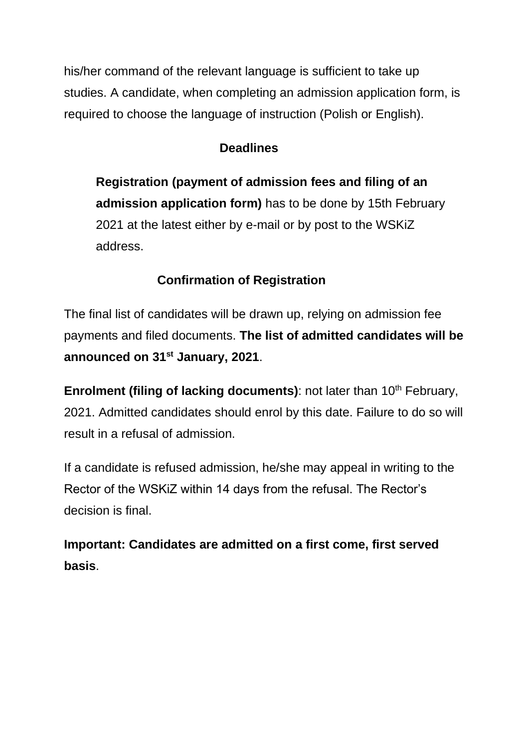his/her command of the relevant language is sufficient to take up studies. A candidate, when completing an admission application form, is required to choose the language of instruction (Polish or English).

## **Deadlines**

**Registration (payment of admission fees and filing of an admission application form)** has to be done by 15th February 2021 at the latest either by e-mail or by post to the WSKiZ address.

# **Confirmation of Registration**

The final list of candidates will be drawn up, relying on admission fee payments and filed documents. **The list of admitted candidates will be announced on 31st January, 2021**.

**Enrolment (filing of lacking documents)**: not later than 10<sup>th</sup> February, 2021. Admitted candidates should enrol by this date. Failure to do so will result in a refusal of admission.

If a candidate is refused admission, he/she may appeal in writing to the Rector of the WSKiZ within 14 days from the refusal. The Rector's decision is final.

**Important: Candidates are admitted on a first come, first served basis**.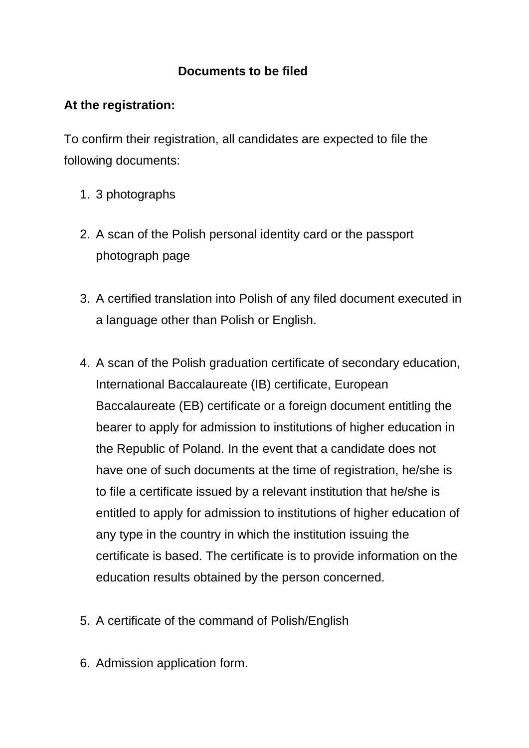### **Documents to be filed**

### **At the registration:**

To confirm their registration, all candidates are expected to file the following documents:

- 1. 3 photographs
- 2. A scan of the Polish personal identity card or the passport photograph page
- 3. A certified translation into Polish of any filed document executed in a language other than Polish or English.
- 4. A scan of the Polish graduation certificate of secondary education, International Baccalaureate (IB) certificate, European Baccalaureate (EB) certificate or a foreign document entitling the bearer to apply for admission to institutions of higher education in the Republic of Poland. In the event that a candidate does not have one of such documents at the time of registration, he/she is to file a certificate issued by a relevant institution that he/she is entitled to apply for admission to institutions of higher education of any type in the country in which the institution issuing the certificate is based. The certificate is to provide information on the education results obtained by the person concerned.
- 5. A certificate of the command of Polish/English
- 6. Admission application form.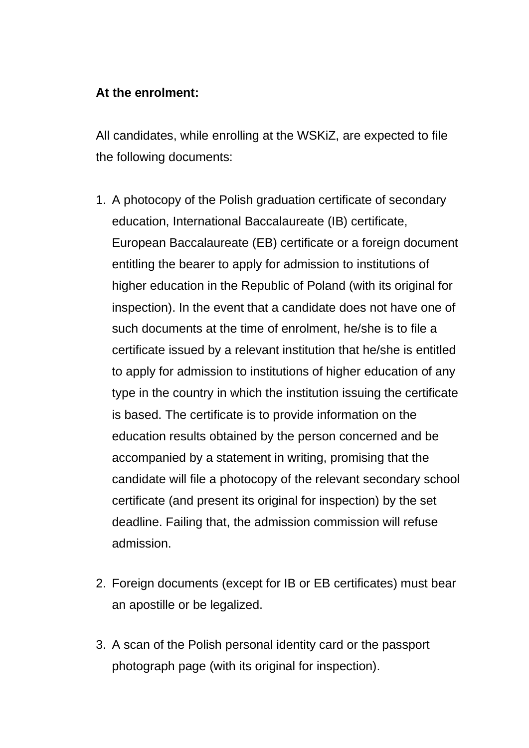#### **At the enrolment:**

All candidates, while enrolling at the WSKiZ, are expected to file the following documents:

- 1. A photocopy of the Polish graduation certificate of secondary education, International Baccalaureate (IB) certificate, European Baccalaureate (EB) certificate or a foreign document entitling the bearer to apply for admission to institutions of higher education in the Republic of Poland (with its original for inspection). In the event that a candidate does not have one of such documents at the time of enrolment, he/she is to file a certificate issued by a relevant institution that he/she is entitled to apply for admission to institutions of higher education of any type in the country in which the institution issuing the certificate is based. The certificate is to provide information on the education results obtained by the person concerned and be accompanied by a statement in writing, promising that the candidate will file a photocopy of the relevant secondary school certificate (and present its original for inspection) by the set deadline. Failing that, the admission commission will refuse admission.
- 2. Foreign documents (except for IB or EB certificates) must bear an apostille or be legalized.
- 3. A scan of the Polish personal identity card or the passport photograph page (with its original for inspection).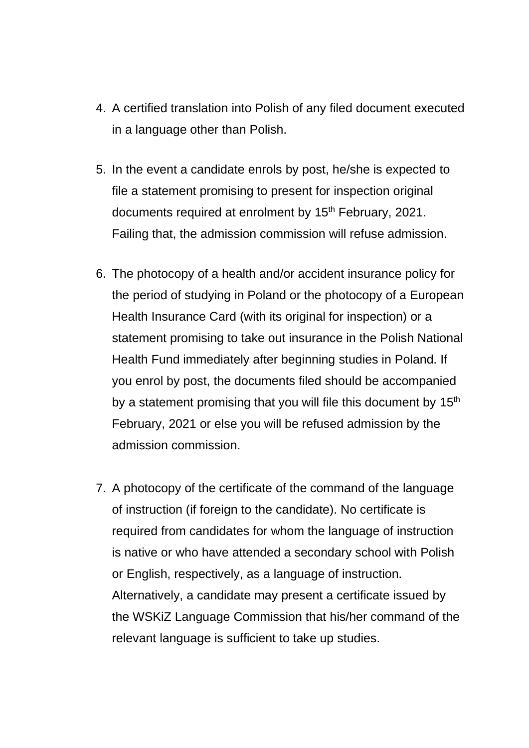- 4. A certified translation into Polish of any filed document executed in a language other than Polish.
- 5. In the event a candidate enrols by post, he/she is expected to file a statement promising to present for inspection original documents required at enrolment by 15<sup>th</sup> February, 2021. Failing that, the admission commission will refuse admission.
- 6. The photocopy of a health and/or accident insurance policy for the period of studying in Poland or the photocopy of a European Health Insurance Card (with its original for inspection) or a statement promising to take out insurance in the Polish National Health Fund immediately after beginning studies in Poland. If you enrol by post, the documents filed should be accompanied by a statement promising that you will file this document by 15<sup>th</sup> February, 2021 or else you will be refused admission by the admission commission.
- 7. A photocopy of the certificate of the command of the language of instruction (if foreign to the candidate). No certificate is required from candidates for whom the language of instruction is native or who have attended a secondary school with Polish or English, respectively, as a language of instruction. Alternatively, a candidate may present a certificate issued by the WSKiZ Language Commission that his/her command of the relevant language is sufficient to take up studies.